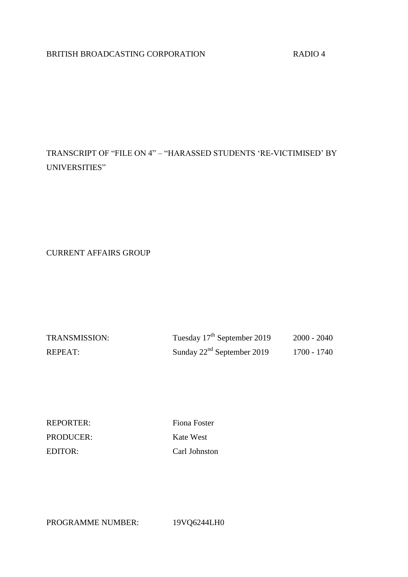# BRITISH BROADCASTING CORPORATION RADIO 4

# TRANSCRIPT OF "FILE ON 4" – "HARASSED STUDENTS 'RE-VICTIMISED' BY UNIVERSITIES"

CURRENT AFFAIRS GROUP

| <b>TRANSMISSION:</b> | Tuesday 17 <sup>th</sup> September 2019 | 2000 - 2040 |
|----------------------|-----------------------------------------|-------------|
| REPEAT:              | Sunday $22nd$ September 2019            | 1700 - 1740 |

REPORTER: Fiona Foster PRODUCER: Kate West EDITOR: Carl Johnston

PROGRAMME NUMBER: 19VQ6244LH0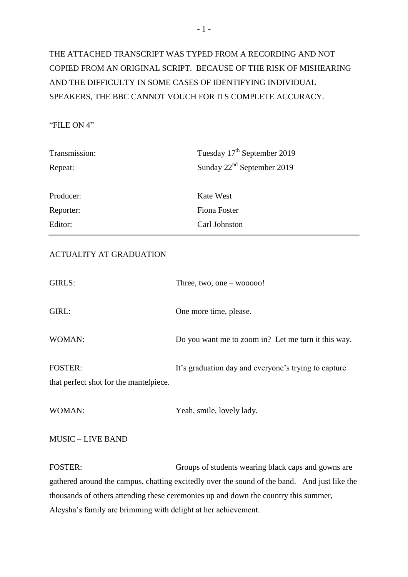# THE ATTACHED TRANSCRIPT WAS TYPED FROM A RECORDING AND NOT COPIED FROM AN ORIGINAL SCRIPT. BECAUSE OF THE RISK OF MISHEARING AND THE DIFFICULTY IN SOME CASES OF IDENTIFYING INDIVIDUAL SPEAKERS, THE BBC CANNOT VOUCH FOR ITS COMPLETE ACCURACY.

# "FILE ON 4"

| Transmission: | Tuesday 17 <sup>th</sup> September 2019 |
|---------------|-----------------------------------------|
| Repeat:       | Sunday $22^{nd}$ September 2019         |
|               |                                         |
| Producer:     | <b>Kate West</b>                        |
| Reporter:     | Fiona Foster                            |
| Editor:       | Carl Johnston                           |

# ACTUALITY AT GRADUATION

| GIRLS:                                                   | Three, two, one $-$ wooooo!                          |
|----------------------------------------------------------|------------------------------------------------------|
| GIRL:                                                    | One more time, please.                               |
| WOMAN:                                                   | Do you want me to zoom in? Let me turn it this way.  |
| <b>FOSTER:</b><br>that perfect shot for the mantelpiece. | It's graduation day and everyone's trying to capture |
| WOMAN:                                                   | Yeah, smile, lovely lady.                            |

MUSIC – LIVE BAND

FOSTER: Groups of students wearing black caps and gowns are gathered around the campus, chatting excitedly over the sound of the band. And just like the thousands of others attending these ceremonies up and down the country this summer, Aleysha's family are brimming with delight at her achievement.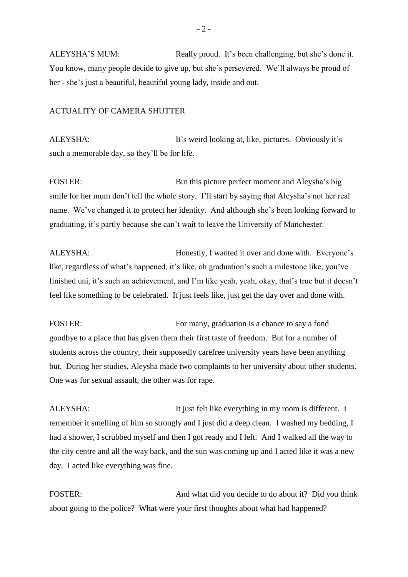ALEYSHA'S MUM: Really proud. It's been challenging, but she's done it. You know, many people decide to give up, but she's persevered. We'll always be proud of her - she's just a beautiful, beautiful young lady, inside and out.

#### ACTUALITY OF CAMERA SHUTTER

ALEYSHA: It's weird looking at, like, pictures. Obviously it's such a memorable day, so they'll be for life.

FOSTER: But this picture perfect moment and Aleysha's big smile for her mum don't tell the whole story. I'll start by saying that Aleysha's not her real name. We've changed it to protect her identity. And although she's been looking forward to graduating, it's partly because she can't wait to leave the University of Manchester.

ALEYSHA: Honestly, I wanted it over and done with. Everyone's like, regardless of what's happened, it's like, oh graduation's such a milestone like, you've finished uni, it's such an achievement, and I'm like yeah, yeah, okay, that's true but it doesn't feel like something to be celebrated. It just feels like, just get the day over and done with.

FOSTER: FOSTER: FOSTER: FOSTER: goodbye to a place that has given them their first taste of freedom. But for a number of students across the country, their supposedly carefree university years have been anything but. During her studies, Aleysha made two complaints to her university about other students. One was for sexual assault, the other was for rape.

ALEYSHA: It just felt like everything in my room is different. I remember it smelling of him so strongly and I just did a deep clean. I washed my bedding, I had a shower, I scrubbed myself and then I got ready and I left. And I walked all the way to the city centre and all the way back, and the sun was coming up and I acted like it was a new day. I acted like everything was fine.

FOSTER: And what did you decide to do about it? Did you think about going to the police? What were your first thoughts about what had happened?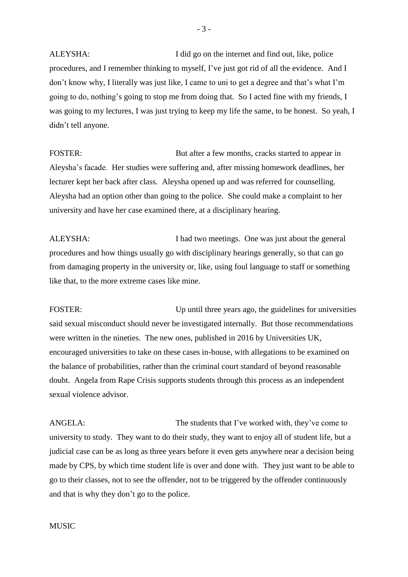ALEYSHA: I did go on the internet and find out, like, police procedures, and I remember thinking to myself, I've just got rid of all the evidence. And I don't know why, I literally was just like, I came to uni to get a degree and that's what I'm going to do, nothing's going to stop me from doing that. So I acted fine with my friends, I was going to my lectures, I was just trying to keep my life the same, to be honest. So yeah, I didn't tell anyone.

FOSTER: But after a few months, cracks started to appear in Aleysha's facade. Her studies were suffering and, after missing homework deadlines, her lecturer kept her back after class. Aleysha opened up and was referred for counselling. Aleysha had an option other than going to the police. She could make a complaint to her university and have her case examined there, at a disciplinary hearing.

ALEYSHA: I had two meetings. One was just about the general procedures and how things usually go with disciplinary hearings generally, so that can go from damaging property in the university or, like, using foul language to staff or something like that, to the more extreme cases like mine.

FOSTER: Up until three years ago, the guidelines for universities said sexual misconduct should never be investigated internally. But those recommendations were written in the nineties. The new ones, published in 2016 by Universities UK, encouraged universities to take on these cases in-house, with allegations to be examined on the balance of probabilities, rather than the criminal court standard of beyond reasonable doubt. Angela from Rape Crisis supports students through this process as an independent sexual violence advisor.

ANGELA: The students that I've worked with, they've come to university to study. They want to do their study, they want to enjoy all of student life, but a judicial case can be as long as three years before it even gets anywhere near a decision being made by CPS, by which time student life is over and done with. They just want to be able to go to their classes, not to see the offender, not to be triggered by the offender continuously and that is why they don't go to the police.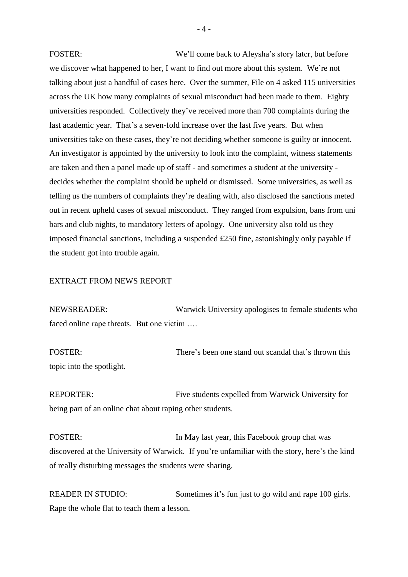FOSTER: We'll come back to Aleysha's story later, but before we discover what happened to her, I want to find out more about this system. We're not talking about just a handful of cases here. Over the summer, File on 4 asked 115 universities across the UK how many complaints of sexual misconduct had been made to them. Eighty universities responded. Collectively they've received more than 700 complaints during the last academic year. That's a seven-fold increase over the last five years. But when universities take on these cases, they're not deciding whether someone is guilty or innocent. An investigator is appointed by the university to look into the complaint, witness statements are taken and then a panel made up of staff - and sometimes a student at the university decides whether the complaint should be upheld or dismissed. Some universities, as well as telling us the numbers of complaints they're dealing with, also disclosed the sanctions meted out in recent upheld cases of sexual misconduct. They ranged from expulsion, bans from uni bars and club nights, to mandatory letters of apology. One university also told us they imposed financial sanctions, including a suspended £250 fine, astonishingly only payable if the student got into trouble again.

## EXTRACT FROM NEWS REPORT

NEWSREADER: Warwick University apologises to female students who faced online rape threats. But one victim ….

FOSTER: There's been one stand out scandal that's thrown this topic into the spotlight.

REPORTER: Five students expelled from Warwick University for being part of an online chat about raping other students.

FOSTER: In May last year, this Facebook group chat was discovered at the University of Warwick. If you're unfamiliar with the story, here's the kind of really disturbing messages the students were sharing.

READER IN STUDIO: Sometimes it's fun just to go wild and rape 100 girls. Rape the whole flat to teach them a lesson.

 $-4 -$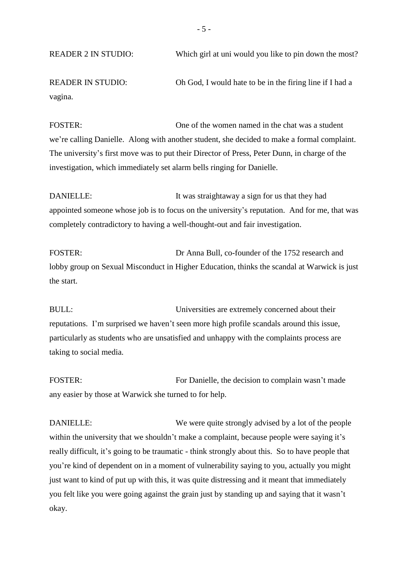READER 2 IN STUDIO: Which girl at uni would you like to pin down the most?

READER IN STUDIO: Oh God, I would hate to be in the firing line if I had a vagina.

FOSTER: One of the women named in the chat was a student we're calling Danielle. Along with another student, she decided to make a formal complaint. The university's first move was to put their Director of Press, Peter Dunn, in charge of the investigation, which immediately set alarm bells ringing for Danielle.

DANIELLE: It was straightaway a sign for us that they had appointed someone whose job is to focus on the university's reputation. And for me, that was completely contradictory to having a well-thought-out and fair investigation.

FOSTER: Dr Anna Bull, co-founder of the 1752 research and lobby group on Sexual Misconduct in Higher Education, thinks the scandal at Warwick is just the start.

BULL: Universities are extremely concerned about their reputations. I'm surprised we haven't seen more high profile scandals around this issue, particularly as students who are unsatisfied and unhappy with the complaints process are taking to social media.

FOSTER: FOSTER: FOSTER: FOSTER: any easier by those at Warwick she turned to for help.

DANIELLE: We were quite strongly advised by a lot of the people within the university that we shouldn't make a complaint, because people were saying it's really difficult, it's going to be traumatic - think strongly about this. So to have people that you're kind of dependent on in a moment of vulnerability saying to you, actually you might just want to kind of put up with this, it was quite distressing and it meant that immediately you felt like you were going against the grain just by standing up and saying that it wasn't okay.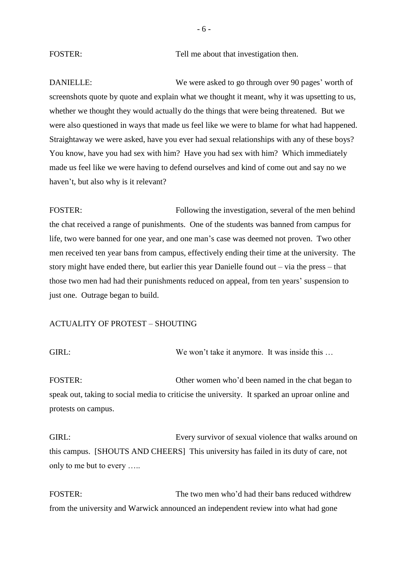FOSTER: Tell me about that investigation then.

DANIELLE: We were asked to go through over 90 pages' worth of screenshots quote by quote and explain what we thought it meant, why it was upsetting to us, whether we thought they would actually do the things that were being threatened. But we were also questioned in ways that made us feel like we were to blame for what had happened. Straightaway we were asked, have you ever had sexual relationships with any of these boys? You know, have you had sex with him? Have you had sex with him? Which immediately made us feel like we were having to defend ourselves and kind of come out and say no we haven't, but also why is it relevant?

FOSTER: FOSTER: FOSTER: the chat received a range of punishments. One of the students was banned from campus for life, two were banned for one year, and one man's case was deemed not proven. Two other men received ten year bans from campus, effectively ending their time at the university. The story might have ended there, but earlier this year Danielle found out – via the press – that those two men had had their punishments reduced on appeal, from ten years' suspension to just one. Outrage began to build.

#### ACTUALITY OF PROTEST – SHOUTING

GIRL: We won't take it anymore. It was inside this ...

FOSTER: Other women who'd been named in the chat began to speak out, taking to social media to criticise the university. It sparked an uproar online and protests on campus.

GIRL: Every survivor of sexual violence that walks around on this campus. [SHOUTS AND CHEERS] This university has failed in its duty of care, not only to me but to every …..

FOSTER: The two men who'd had their bans reduced withdrew from the university and Warwick announced an independent review into what had gone

- 6 -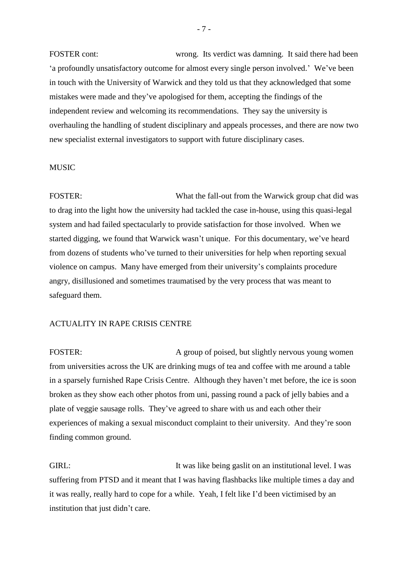FOSTER cont: wrong. Its verdict was damning. It said there had been 'a profoundly unsatisfactory outcome for almost every single person involved.' We've been in touch with the University of Warwick and they told us that they acknowledged that some mistakes were made and they've apologised for them, accepting the findings of the independent review and welcoming its recommendations. They say the university is overhauling the handling of student disciplinary and appeals processes, and there are now two new specialist external investigators to support with future disciplinary cases.

#### MUSIC

FOSTER: What the fall-out from the Warwick group chat did was to drag into the light how the university had tackled the case in-house, using this quasi-legal system and had failed spectacularly to provide satisfaction for those involved. When we started digging, we found that Warwick wasn't unique. For this documentary, we've heard from dozens of students who've turned to their universities for help when reporting sexual violence on campus. Many have emerged from their university's complaints procedure angry, disillusioned and sometimes traumatised by the very process that was meant to safeguard them.

#### ACTUALITY IN RAPE CRISIS CENTRE

FOSTER: A group of poised, but slightly nervous young women from universities across the UK are drinking mugs of tea and coffee with me around a table in a sparsely furnished Rape Crisis Centre. Although they haven't met before, the ice is soon broken as they show each other photos from uni, passing round a pack of jelly babies and a plate of veggie sausage rolls. They've agreed to share with us and each other their experiences of making a sexual misconduct complaint to their university. And they're soon finding common ground.

GIRL: It was like being gaslit on an institutional level. I was suffering from PTSD and it meant that I was having flashbacks like multiple times a day and it was really, really hard to cope for a while. Yeah, I felt like I'd been victimised by an institution that just didn't care.

- 7 -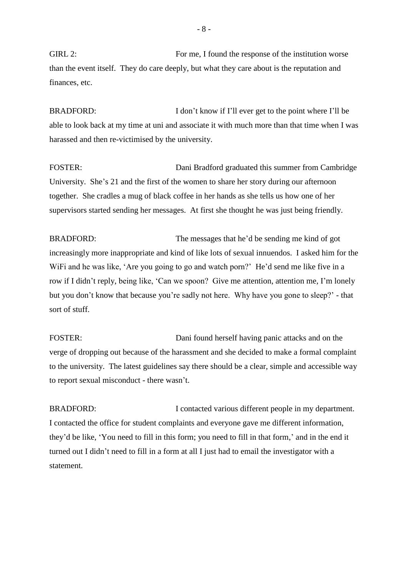GIRL 2: For me, I found the response of the institution worse than the event itself. They do care deeply, but what they care about is the reputation and finances, etc.

BRADFORD: I don't know if I'll ever get to the point where I'll be able to look back at my time at uni and associate it with much more than that time when I was harassed and then re-victimised by the university.

FOSTER: Dani Bradford graduated this summer from Cambridge University. She's 21 and the first of the women to share her story during our afternoon together. She cradles a mug of black coffee in her hands as she tells us how one of her supervisors started sending her messages. At first she thought he was just being friendly.

BRADFORD: The messages that he'd be sending me kind of got increasingly more inappropriate and kind of like lots of sexual innuendos. I asked him for the WiFi and he was like, 'Are you going to go and watch porn?' He'd send me like five in a row if I didn't reply, being like, 'Can we spoon? Give me attention, attention me, I'm lonely but you don't know that because you're sadly not here. Why have you gone to sleep?' - that sort of stuff.

FOSTER: Dani found herself having panic attacks and on the verge of dropping out because of the harassment and she decided to make a formal complaint to the university. The latest guidelines say there should be a clear, simple and accessible way to report sexual misconduct - there wasn't.

BRADFORD: I contacted various different people in my department. I contacted the office for student complaints and everyone gave me different information, they'd be like, 'You need to fill in this form; you need to fill in that form,' and in the end it turned out I didn't need to fill in a form at all I just had to email the investigator with a statement.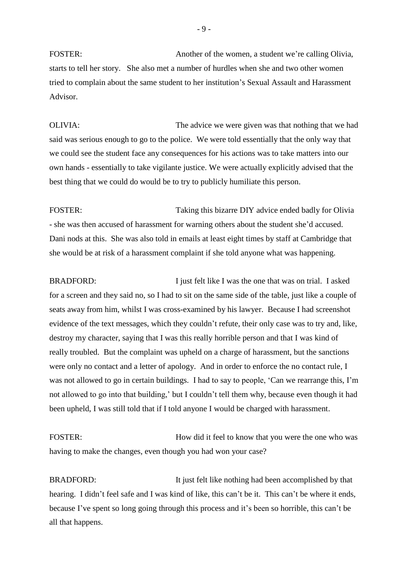FOSTER: Another of the women, a student we're calling Olivia, starts to tell her story. She also met a number of hurdles when she and two other women tried to complain about the same student to her institution's Sexual Assault and Harassment Advisor.

OLIVIA: The advice we were given was that nothing that we had said was serious enough to go to the police. We were told essentially that the only way that we could see the student face any consequences for his actions was to take matters into our own hands - essentially to take vigilante justice. We were actually explicitly advised that the best thing that we could do would be to try to publicly humiliate this person.

FOSTER: Taking this bizarre DIY advice ended badly for Olivia - she was then accused of harassment for warning others about the student she'd accused. Dani nods at this. She was also told in emails at least eight times by staff at Cambridge that she would be at risk of a harassment complaint if she told anyone what was happening.

BRADFORD: I just felt like I was the one that was on trial. I asked for a screen and they said no, so I had to sit on the same side of the table, just like a couple of seats away from him, whilst I was cross-examined by his lawyer. Because I had screenshot evidence of the text messages, which they couldn't refute, their only case was to try and, like, destroy my character, saying that I was this really horrible person and that I was kind of really troubled. But the complaint was upheld on a charge of harassment, but the sanctions were only no contact and a letter of apology. And in order to enforce the no contact rule, I was not allowed to go in certain buildings. I had to say to people, 'Can we rearrange this, I'm not allowed to go into that building,' but I couldn't tell them why, because even though it had been upheld, I was still told that if I told anyone I would be charged with harassment.

FOSTER: How did it feel to know that you were the one who was having to make the changes, even though you had won your case?

BRADFORD: It just felt like nothing had been accomplished by that hearing. I didn't feel safe and I was kind of like, this can't be it. This can't be where it ends, because I've spent so long going through this process and it's been so horrible, this can't be all that happens.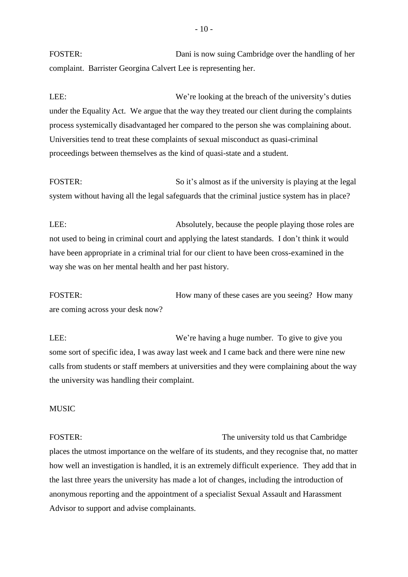FOSTER: Dani is now suing Cambridge over the handling of her complaint. Barrister Georgina Calvert Lee is representing her.

LEE:<br>We're looking at the breach of the university's duties under the Equality Act. We argue that the way they treated our client during the complaints process systemically disadvantaged her compared to the person she was complaining about. Universities tend to treat these complaints of sexual misconduct as quasi-criminal proceedings between themselves as the kind of quasi-state and a student.

FOSTER: So it's almost as if the university is playing at the legal system without having all the legal safeguards that the criminal justice system has in place?

LEE: Absolutely, because the people playing those roles are not used to being in criminal court and applying the latest standards. I don't think it would have been appropriate in a criminal trial for our client to have been cross-examined in the way she was on her mental health and her past history.

FOSTER: How many of these cases are you seeing? How many are coming across your desk now?

LEE: We're having a huge number. To give to give you some sort of specific idea, I was away last week and I came back and there were nine new calls from students or staff members at universities and they were complaining about the way the university was handling their complaint.

#### MUSIC

FOSTER: The university told us that Cambridge places the utmost importance on the welfare of its students, and they recognise that, no matter how well an investigation is handled, it is an extremely difficult experience. They add that in the last three years the university has made a lot of changes, including the introduction of anonymous reporting and the appointment of a specialist Sexual Assault and Harassment Advisor to support and advise complainants.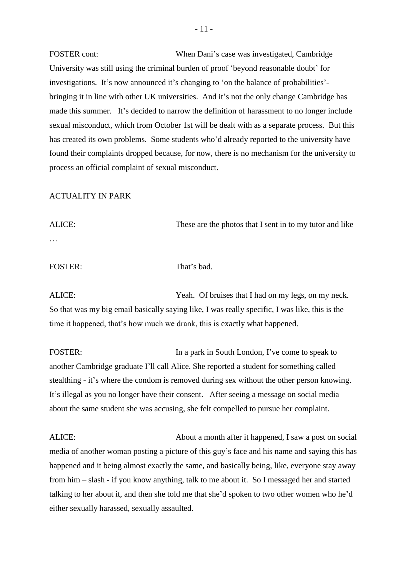FOSTER cont: When Dani's case was investigated, Cambridge University was still using the criminal burden of proof 'beyond reasonable doubt' for investigations. It's now announced it's changing to 'on the balance of probabilities' bringing it in line with other UK universities. And it's not the only change Cambridge has made this summer. It's decided to narrow the definition of harassment to no longer include sexual misconduct, which from October 1st will be dealt with as a separate process. But this has created its own problems. Some students who'd already reported to the university have found their complaints dropped because, for now, there is no mechanism for the university to process an official complaint of sexual misconduct.

#### ACTUALITY IN PARK

ALICE: These are the photos that I sent in to my tutor and like …

## FOSTER: That's bad.

ALICE: Yeah. Of bruises that I had on my legs, on my neck. So that was my big email basically saying like, I was really specific, I was like, this is the time it happened, that's how much we drank, this is exactly what happened.

FOSTER: In a park in South London, I've come to speak to another Cambridge graduate I'll call Alice. She reported a student for something called stealthing - it's where the condom is removed during sex without the other person knowing. It's illegal as you no longer have their consent. After seeing a message on social media about the same student she was accusing, she felt compelled to pursue her complaint.

ALICE: About a month after it happened, I saw a post on social media of another woman posting a picture of this guy's face and his name and saying this has happened and it being almost exactly the same, and basically being, like, everyone stay away from him – slash - if you know anything, talk to me about it. So I messaged her and started talking to her about it, and then she told me that she'd spoken to two other women who he'd either sexually harassed, sexually assaulted.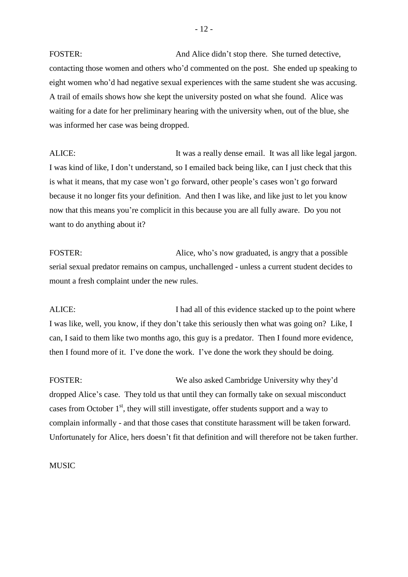FOSTER: And Alice didn't stop there. She turned detective, contacting those women and others who'd commented on the post. She ended up speaking to eight women who'd had negative sexual experiences with the same student she was accusing. A trail of emails shows how she kept the university posted on what she found. Alice was waiting for a date for her preliminary hearing with the university when, out of the blue, she was informed her case was being dropped.

ALICE: It was a really dense email. It was all like legal jargon. I was kind of like, I don't understand, so I emailed back being like, can I just check that this is what it means, that my case won't go forward, other people's cases won't go forward because it no longer fits your definition. And then I was like, and like just to let you know now that this means you're complicit in this because you are all fully aware. Do you not want to do anything about it?

FOSTER: Alice, who's now graduated, is angry that a possible serial sexual predator remains on campus, unchallenged - unless a current student decides to mount a fresh complaint under the new rules.

ALICE: I had all of this evidence stacked up to the point where I was like, well, you know, if they don't take this seriously then what was going on? Like, I can, I said to them like two months ago, this guy is a predator. Then I found more evidence, then I found more of it. I've done the work. I've done the work they should be doing.

FOSTER: We also asked Cambridge University why they'd dropped Alice's case. They told us that until they can formally take on sexual misconduct cases from October  $1<sup>st</sup>$ , they will still investigate, offer students support and a way to complain informally - and that those cases that constitute harassment will be taken forward. Unfortunately for Alice, hers doesn't fit that definition and will therefore not be taken further.

#### **MUSIC**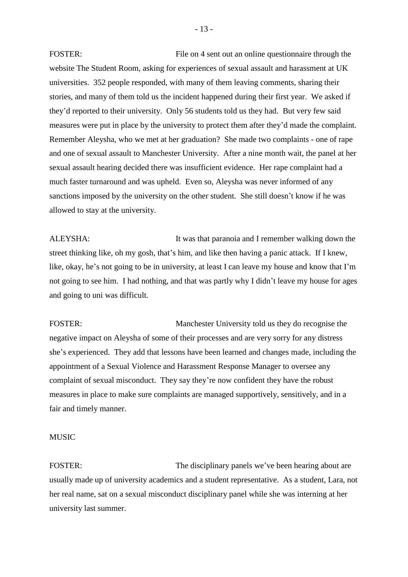FOSTER: FIle on 4 sent out an online questionnaire through the website The Student Room, asking for experiences of sexual assault and harassment at UK universities. 352 people responded, with many of them leaving comments, sharing their stories, and many of them told us the incident happened during their first year. We asked if they'd reported to their university. Only 56 students told us they had. But very few said measures were put in place by the university to protect them after they'd made the complaint. Remember Aleysha, who we met at her graduation? She made two complaints - one of rape and one of sexual assault to Manchester University. After a nine month wait, the panel at her sexual assault hearing decided there was insufficient evidence. Her rape complaint had a much faster turnaround and was upheld. Even so, Aleysha was never informed of any sanctions imposed by the university on the other student. She still doesn't know if he was allowed to stay at the university.

ALEYSHA: It was that paranoia and I remember walking down the street thinking like, oh my gosh, that's him, and like then having a panic attack. If I knew, like, okay, he's not going to be in university, at least I can leave my house and know that I'm not going to see him. I had nothing, and that was partly why I didn't leave my house for ages and going to uni was difficult.

FOSTER: Manchester University told us they do recognise the negative impact on Aleysha of some of their processes and are very sorry for any distress she's experienced. They add that lessons have been learned and changes made, including the appointment of a Sexual Violence and Harassment Response Manager to oversee any complaint of sexual misconduct. They say they're now confident they have the robust measures in place to make sure complaints are managed supportively, sensitively, and in a fair and timely manner.

MUSIC

FOSTER: The disciplinary panels we've been hearing about are usually made up of university academics and a student representative. As a student, Lara, not her real name, sat on a sexual misconduct disciplinary panel while she was interning at her university last summer.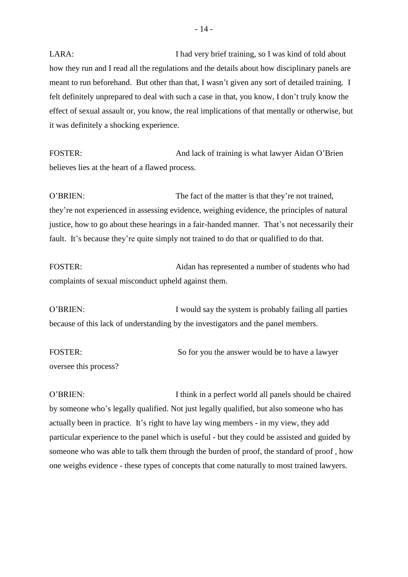LARA: I had very brief training, so I was kind of told about how they run and I read all the regulations and the details about how disciplinary panels are meant to run beforehand. But other than that, I wasn't given any sort of detailed training. I felt definitely unprepared to deal with such a case in that, you know, I don't truly know the effect of sexual assault or, you know, the real implications of that mentally or otherwise, but it was definitely a shocking experience.

FOSTER: And lack of training is what lawyer Aidan O'Brien believes lies at the heart of a flawed process.

O'BRIEN: The fact of the matter is that they're not trained, they're not experienced in assessing evidence, weighing evidence, the principles of natural justice, how to go about these hearings in a fair-handed manner. That's not necessarily their fault. It's because they're quite simply not trained to do that or qualified to do that.

FOSTER: Aidan has represented a number of students who had complaints of sexual misconduct upheld against them.

O'BRIEN: I would say the system is probably failing all parties because of this lack of understanding by the investigators and the panel members.

FOSTER: So for you the answer would be to have a lawyer oversee this process?

O'BRIEN: I think in a perfect world all panels should be chaired by someone who's legally qualified. Not just legally qualified, but also someone who has actually been in practice. It's right to have lay wing members - in my view, they add particular experience to the panel which is useful - but they could be assisted and guided by someone who was able to talk them through the burden of proof, the standard of proof , how one weighs evidence - these types of concepts that come naturally to most trained lawyers.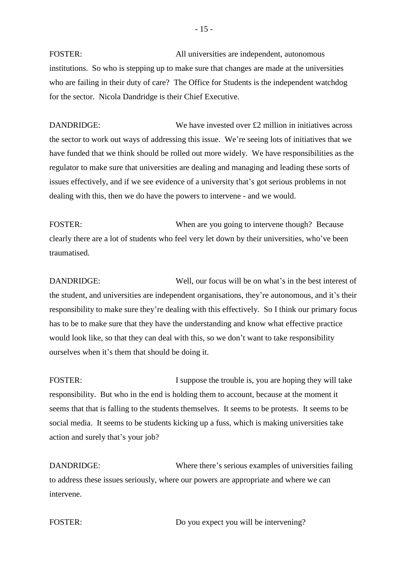FOSTER: All universities are independent, autonomous institutions. So who is stepping up to make sure that changes are made at the universities who are failing in their duty of care? The Office for Students is the independent watchdog for the sector. Nicola Dandridge is their Chief Executive.

DANDRIDGE: We have invested over £2 million in initiatives across the sector to work out ways of addressing this issue. We're seeing lots of initiatives that we have funded that we think should be rolled out more widely. We have responsibilities as the regulator to make sure that universities are dealing and managing and leading these sorts of issues effectively, and if we see evidence of a university that's got serious problems in not dealing with this, then we do have the powers to intervene - and we would.

FOSTER: When are you going to intervene though? Because clearly there are a lot of students who feel very let down by their universities, who've been traumatised.

DANDRIDGE: Well, our focus will be on what's in the best interest of the student, and universities are independent organisations, they're autonomous, and it's their responsibility to make sure they're dealing with this effectively. So I think our primary focus has to be to make sure that they have the understanding and know what effective practice would look like, so that they can deal with this, so we don't want to take responsibility ourselves when it's them that should be doing it.

FOSTER: I suppose the trouble is, you are hoping they will take responsibility. But who in the end is holding them to account, because at the moment it seems that that is falling to the students themselves. It seems to be protests. It seems to be social media. It seems to be students kicking up a fuss, which is making universities take action and surely that's your job?

DANDRIDGE: Where there's serious examples of universities failing to address these issues seriously, where our powers are appropriate and where we can intervene.

FOSTER: Do you expect you will be intervening?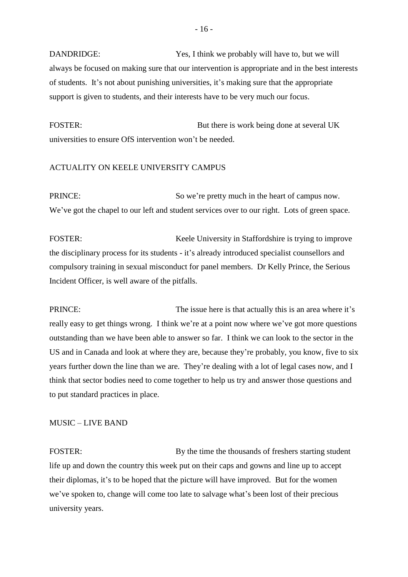DANDRIDGE: Yes, I think we probably will have to, but we will always be focused on making sure that our intervention is appropriate and in the best interests of students. It's not about punishing universities, it's making sure that the appropriate support is given to students, and their interests have to be very much our focus.

FOSTER: But there is work being done at several UK universities to ensure OfS intervention won't be needed.

#### ACTUALITY ON KEELE UNIVERSITY CAMPUS

PRINCE: So we're pretty much in the heart of campus now. We've got the chapel to our left and student services over to our right. Lots of green space.

FOSTER:<br>
Keele University in Staffordshire is trying to improve the disciplinary process for its students - it's already introduced specialist counsellors and compulsory training in sexual misconduct for panel members. Dr Kelly Prince, the Serious Incident Officer, is well aware of the pitfalls.

PRINCE: The issue here is that actually this is an area where it's really easy to get things wrong. I think we're at a point now where we've got more questions outstanding than we have been able to answer so far. I think we can look to the sector in the US and in Canada and look at where they are, because they're probably, you know, five to six years further down the line than we are. They're dealing with a lot of legal cases now, and I think that sector bodies need to come together to help us try and answer those questions and to put standard practices in place.

# MUSIC – LIVE BAND

FOSTER: By the time the thousands of freshers starting student life up and down the country this week put on their caps and gowns and line up to accept their diplomas, it's to be hoped that the picture will have improved. But for the women we've spoken to, change will come too late to salvage what's been lost of their precious university years.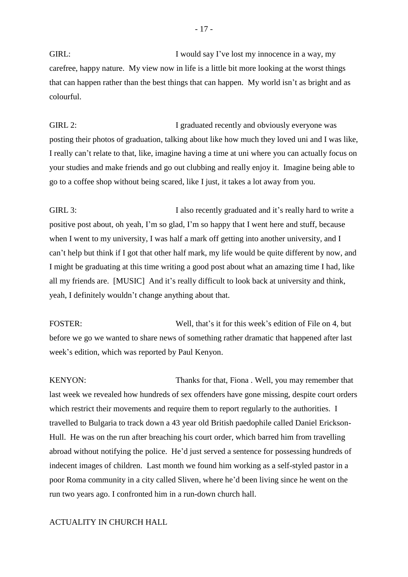GIRL: I would say I've lost my innocence in a way, my carefree, happy nature. My view now in life is a little bit more looking at the worst things that can happen rather than the best things that can happen. My world isn't as bright and as colourful.

GIRL 2: I graduated recently and obviously everyone was posting their photos of graduation, talking about like how much they loved uni and I was like, I really can't relate to that, like, imagine having a time at uni where you can actually focus on your studies and make friends and go out clubbing and really enjoy it. Imagine being able to go to a coffee shop without being scared, like I just, it takes a lot away from you.

GIRL 3: I also recently graduated and it's really hard to write a positive post about, oh yeah, I'm so glad, I'm so happy that I went here and stuff, because when I went to my university, I was half a mark off getting into another university, and I can't help but think if I got that other half mark, my life would be quite different by now, and I might be graduating at this time writing a good post about what an amazing time I had, like all my friends are. [MUSIC] And it's really difficult to look back at university and think, yeah, I definitely wouldn't change anything about that.

FOSTER: Well, that's it for this week's edition of File on 4, but before we go we wanted to share news of something rather dramatic that happened after last week's edition, which was reported by Paul Kenyon.

KENYON: Thanks for that, Fiona . Well, you may remember that last week we revealed how hundreds of sex offenders have gone missing, despite court orders which restrict their movements and require them to report regularly to the authorities. I travelled to Bulgaria to track down a 43 year old British paedophile called Daniel Erickson-Hull. He was on the run after breaching his court order, which barred him from travelling abroad without notifying the police. He'd just served a sentence for possessing hundreds of indecent images of children. Last month we found him working as a self-styled pastor in a poor Roma community in a city called Sliven, where he'd been living since he went on the run two years ago. I confronted him in a run-down church hall.

# ACTUALITY IN CHURCH HALL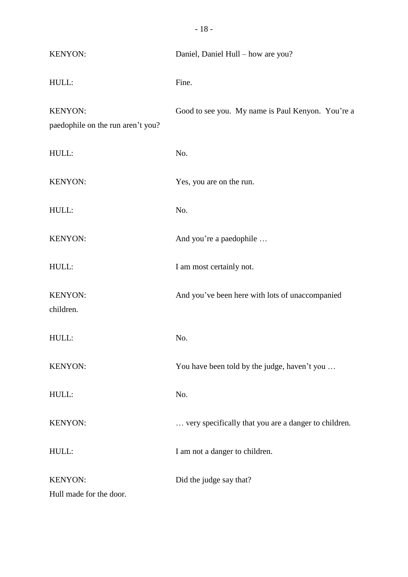| <b>KENYON:</b>                               | Daniel, Daniel Hull - how are you?                   |
|----------------------------------------------|------------------------------------------------------|
| HULL:                                        | Fine.                                                |
| KENYON:<br>paedophile on the run aren't you? | Good to see you. My name is Paul Kenyon. You're a    |
| HULL:                                        | No.                                                  |
| KENYON:                                      | Yes, you are on the run.                             |
| HULL:                                        | No.                                                  |
| KENYON:                                      | And you're a paedophile                              |
| HULL:                                        | I am most certainly not.                             |
| <b>KENYON:</b><br>children.                  | And you've been here with lots of unaccompanied      |
| HULL:                                        | No.                                                  |
| <b>KENYON:</b>                               | You have been told by the judge, haven't you         |
| HULL:                                        | No.                                                  |
| <b>KENYON:</b>                               | very specifically that you are a danger to children. |
| HULL:                                        | I am not a danger to children.                       |
| <b>KENYON:</b>                               | Did the judge say that?                              |
| Hull made for the door.                      |                                                      |